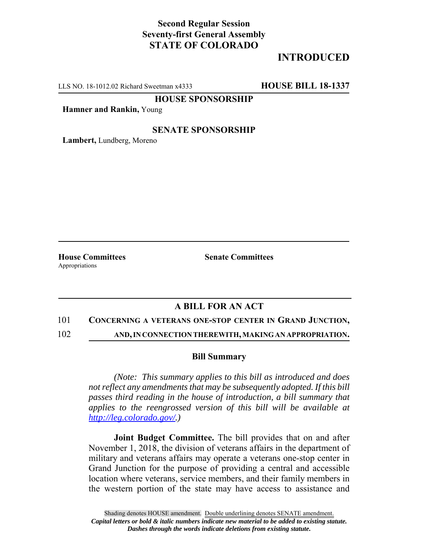# **Second Regular Session Seventy-first General Assembly STATE OF COLORADO**

# **INTRODUCED**

LLS NO. 18-1012.02 Richard Sweetman x4333 **HOUSE BILL 18-1337**

**HOUSE SPONSORSHIP**

**Hamner and Rankin,** Young

## **SENATE SPONSORSHIP**

**Lambert,** Lundberg, Moreno

Appropriations

**House Committees Senate Committees** 

## **A BILL FOR AN ACT**

#### 101 **CONCERNING A VETERANS ONE-STOP CENTER IN GRAND JUNCTION,**

102 **AND, IN CONNECTION THEREWITH, MAKING AN APPROPRIATION.**

### **Bill Summary**

*(Note: This summary applies to this bill as introduced and does not reflect any amendments that may be subsequently adopted. If this bill passes third reading in the house of introduction, a bill summary that applies to the reengrossed version of this bill will be available at http://leg.colorado.gov/.)*

**Joint Budget Committee.** The bill provides that on and after November 1, 2018, the division of veterans affairs in the department of military and veterans affairs may operate a veterans one-stop center in Grand Junction for the purpose of providing a central and accessible location where veterans, service members, and their family members in the western portion of the state may have access to assistance and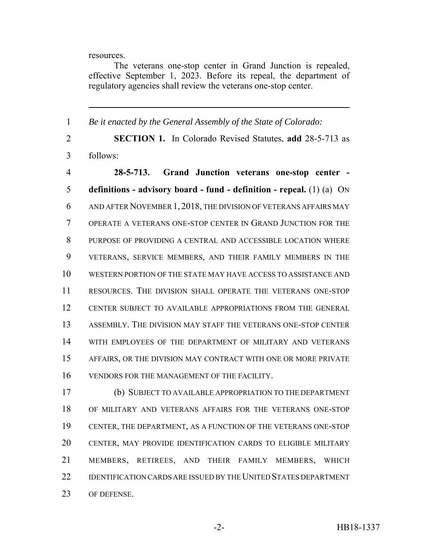resources.

The veterans one-stop center in Grand Junction is repealed, effective September 1, 2023. Before its repeal, the department of regulatory agencies shall review the veterans one-stop center.

 *Be it enacted by the General Assembly of the State of Colorado:* **SECTION 1.** In Colorado Revised Statutes, **add** 28-5-713 as follows: **28-5-713. Grand Junction veterans one-stop center - definitions - advisory board - fund - definition - repeal.** (1) (a) ON AND AFTER NOVEMBER 1, 2018, THE DIVISION OF VETERANS AFFAIRS MAY OPERATE A VETERANS ONE-STOP CENTER IN GRAND JUNCTION FOR THE PURPOSE OF PROVIDING A CENTRAL AND ACCESSIBLE LOCATION WHERE VETERANS, SERVICE MEMBERS, AND THEIR FAMILY MEMBERS IN THE WESTERN PORTION OF THE STATE MAY HAVE ACCESS TO ASSISTANCE AND RESOURCES. THE DIVISION SHALL OPERATE THE VETERANS ONE-STOP CENTER SUBJECT TO AVAILABLE APPROPRIATIONS FROM THE GENERAL ASSEMBLY. THE DIVISION MAY STAFF THE VETERANS ONE-STOP CENTER WITH EMPLOYEES OF THE DEPARTMENT OF MILITARY AND VETERANS AFFAIRS, OR THE DIVISION MAY CONTRACT WITH ONE OR MORE PRIVATE VENDORS FOR THE MANAGEMENT OF THE FACILITY.

 (b) SUBJECT TO AVAILABLE APPROPRIATION TO THE DEPARTMENT OF MILITARY AND VETERANS AFFAIRS FOR THE VETERANS ONE-STOP CENTER, THE DEPARTMENT, AS A FUNCTION OF THE VETERANS ONE-STOP CENTER, MAY PROVIDE IDENTIFICATION CARDS TO ELIGIBLE MILITARY MEMBERS, RETIREES, AND THEIR FAMILY MEMBERS, WHICH 22 IDENTIFICATION CARDS ARE ISSUED BY THE UNITED STATES DEPARTMENT OF DEFENSE.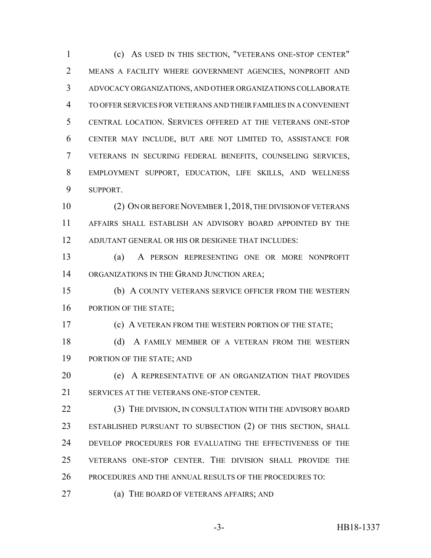(c) AS USED IN THIS SECTION, "VETERANS ONE-STOP CENTER" MEANS A FACILITY WHERE GOVERNMENT AGENCIES, NONPROFIT AND ADVOCACY ORGANIZATIONS, AND OTHER ORGANIZATIONS COLLABORATE TO OFFER SERVICES FOR VETERANS AND THEIR FAMILIES IN A CONVENIENT CENTRAL LOCATION. SERVICES OFFERED AT THE VETERANS ONE-STOP CENTER MAY INCLUDE, BUT ARE NOT LIMITED TO, ASSISTANCE FOR VETERANS IN SECURING FEDERAL BENEFITS, COUNSELING SERVICES, EMPLOYMENT SUPPORT, EDUCATION, LIFE SKILLS, AND WELLNESS SUPPORT. (2) ON OR BEFORE NOVEMBER 1,2018, THE DIVISION OF VETERANS AFFAIRS SHALL ESTABLISH AN ADVISORY BOARD APPOINTED BY THE ADJUTANT GENERAL OR HIS OR DESIGNEE THAT INCLUDES:

 (a) A PERSON REPRESENTING ONE OR MORE NONPROFIT 14 ORGANIZATIONS IN THE GRAND JUNCTION AREA;

 (b) A COUNTY VETERANS SERVICE OFFICER FROM THE WESTERN 16 PORTION OF THE STATE;

(c) A VETERAN FROM THE WESTERN PORTION OF THE STATE;

18 (d) A FAMILY MEMBER OF A VETERAN FROM THE WESTERN 19 PORTION OF THE STATE; AND

 (e) A REPRESENTATIVE OF AN ORGANIZATION THAT PROVIDES SERVICES AT THE VETERANS ONE-STOP CENTER.

22 (3) THE DIVISION, IN CONSULTATION WITH THE ADVISORY BOARD ESTABLISHED PURSUANT TO SUBSECTION (2) OF THIS SECTION, SHALL DEVELOP PROCEDURES FOR EVALUATING THE EFFECTIVENESS OF THE VETERANS ONE-STOP CENTER. THE DIVISION SHALL PROVIDE THE PROCEDURES AND THE ANNUAL RESULTS OF THE PROCEDURES TO:

(a) THE BOARD OF VETERANS AFFAIRS; AND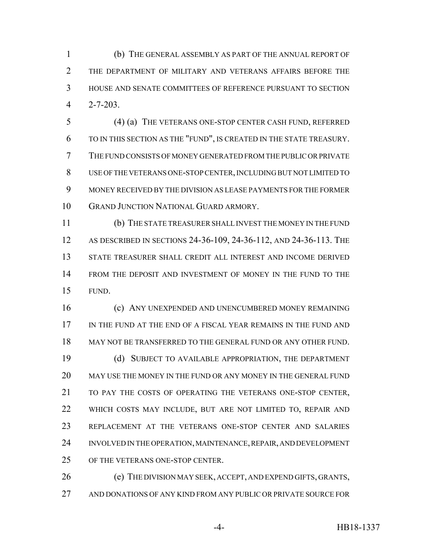(b) THE GENERAL ASSEMBLY AS PART OF THE ANNUAL REPORT OF 2 THE DEPARTMENT OF MILITARY AND VETERANS AFFAIRS BEFORE THE HOUSE AND SENATE COMMITTEES OF REFERENCE PURSUANT TO SECTION 2-7-203.

 (4) (a) THE VETERANS ONE-STOP CENTER CASH FUND, REFERRED TO IN THIS SECTION AS THE "FUND", IS CREATED IN THE STATE TREASURY. THE FUND CONSISTS OF MONEY GENERATED FROM THE PUBLIC OR PRIVATE USE OF THE VETERANS ONE-STOP CENTER, INCLUDING BUT NOT LIMITED TO MONEY RECEIVED BY THE DIVISION AS LEASE PAYMENTS FOR THE FORMER GRAND JUNCTION NATIONAL GUARD ARMORY.

 (b) THE STATE TREASURER SHALL INVEST THE MONEY IN THE FUND AS DESCRIBED IN SECTIONS 24-36-109, 24-36-112, AND 24-36-113. THE STATE TREASURER SHALL CREDIT ALL INTEREST AND INCOME DERIVED FROM THE DEPOSIT AND INVESTMENT OF MONEY IN THE FUND TO THE FUND.

 (c) ANY UNEXPENDED AND UNENCUMBERED MONEY REMAINING IN THE FUND AT THE END OF A FISCAL YEAR REMAINS IN THE FUND AND MAY NOT BE TRANSFERRED TO THE GENERAL FUND OR ANY OTHER FUND. (d) SUBJECT TO AVAILABLE APPROPRIATION, THE DEPARTMENT MAY USE THE MONEY IN THE FUND OR ANY MONEY IN THE GENERAL FUND TO PAY THE COSTS OF OPERATING THE VETERANS ONE-STOP CENTER, WHICH COSTS MAY INCLUDE, BUT ARE NOT LIMITED TO, REPAIR AND REPLACEMENT AT THE VETERANS ONE-STOP CENTER AND SALARIES INVOLVED IN THE OPERATION, MAINTENANCE, REPAIR, AND DEVELOPMENT OF THE VETERANS ONE-STOP CENTER.

 (e) THE DIVISION MAY SEEK, ACCEPT, AND EXPEND GIFTS, GRANTS, AND DONATIONS OF ANY KIND FROM ANY PUBLIC OR PRIVATE SOURCE FOR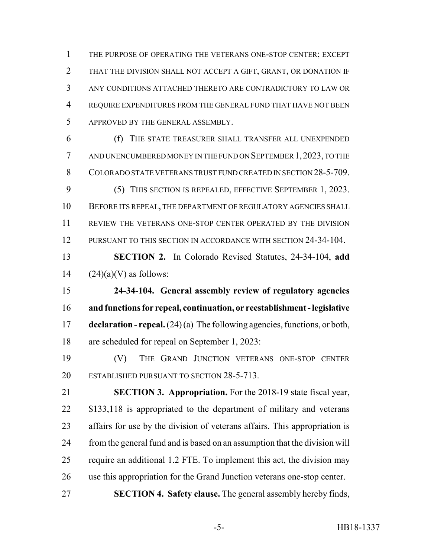THE PURPOSE OF OPERATING THE VETERANS ONE-STOP CENTER; EXCEPT THAT THE DIVISION SHALL NOT ACCEPT A GIFT, GRANT, OR DONATION IF ANY CONDITIONS ATTACHED THERETO ARE CONTRADICTORY TO LAW OR REQUIRE EXPENDITURES FROM THE GENERAL FUND THAT HAVE NOT BEEN APPROVED BY THE GENERAL ASSEMBLY.

 (f) THE STATE TREASURER SHALL TRANSFER ALL UNEXPENDED AND UNENCUMBERED MONEY IN THE FUND ON SEPTEMBER 1,2023, TO THE COLORADO STATE VETERANS TRUST FUND CREATED IN SECTION 28-5-709. (5) THIS SECTION IS REPEALED, EFFECTIVE SEPTEMBER 1, 2023. BEFORE ITS REPEAL, THE DEPARTMENT OF REGULATORY AGENCIES SHALL REVIEW THE VETERANS ONE-STOP CENTER OPERATED BY THE DIVISION PURSUANT TO THIS SECTION IN ACCORDANCE WITH SECTION 24-34-104.

 **SECTION 2.** In Colorado Revised Statutes, 24-34-104, **add** 14  $(24)(a)(V)$  as follows:

 **24-34-104. General assembly review of regulatory agencies and functions for repeal, continuation, or reestablishment - legislative declaration - repeal.** (24) (a) The following agencies, functions, or both, are scheduled for repeal on September 1, 2023:

 (V) THE GRAND JUNCTION VETERANS ONE-STOP CENTER 20 ESTABLISHED PURSUANT TO SECTION 28-5-713.

 **SECTION 3. Appropriation.** For the 2018-19 state fiscal year, 22 \$133,118 is appropriated to the department of military and veterans affairs for use by the division of veterans affairs. This appropriation is from the general fund and is based on an assumption that the division will require an additional 1.2 FTE. To implement this act, the division may use this appropriation for the Grand Junction veterans one-stop center. **SECTION 4. Safety clause.** The general assembly hereby finds,